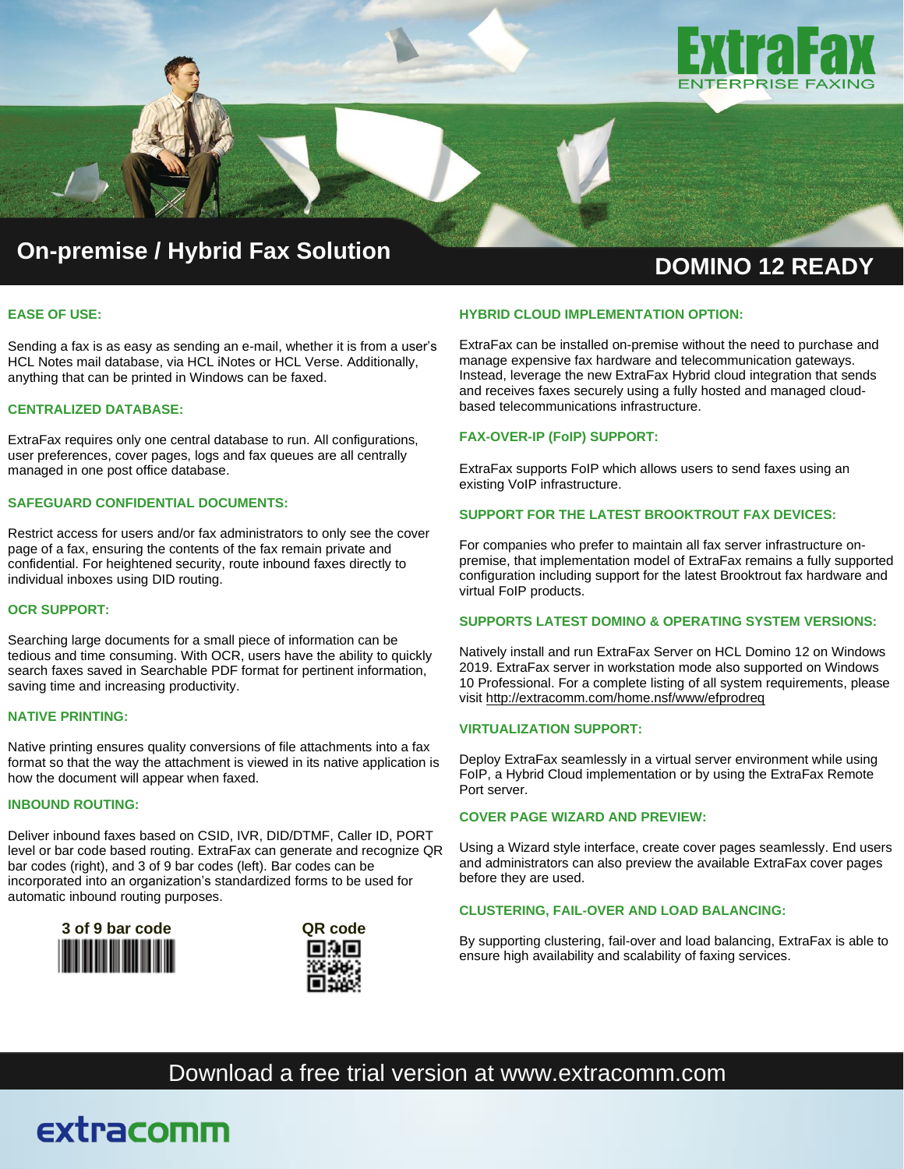

# **DOMINO <sup>12</sup> READY On-premise / Hybrid Fax Solution**

#### **EASE OF USE:**

Sending a fax is as easy as sending an e-mail, whether it is from a user's HCL Notes mail database, via HCL iNotes or HCL Verse. Additionally, anything that can be printed in Windows can be faxed.

#### **CENTRALIZED DATABASE:**

ExtraFax requires only one central database to run. All configurations, user preferences, cover pages, logs and fax queues are all centrally managed in one post office database.

#### **SAFEGUARD CONFIDENTIAL DOCUMENTS:**

Restrict access for users and/or fax administrators to only see the cover page of a fax, ensuring the contents of the fax remain private and confidential. For heightened security, route inbound faxes directly to individual inboxes using DID routing.

#### **OCR SUPPORT:**

Searching large documents for a small piece of information can be tedious and time consuming. With OCR, users have the ability to quickly search faxes saved in Searchable PDF format for pertinent information, saving time and increasing productivity.

#### **NATIVE PRINTING:**

Native printing ensures quality conversions of file attachments into a fax format so that the way the attachment is viewed in its native application is how the document will appear when faxed.

#### **INBOUND ROUTING:**

Deliver inbound faxes based on CSID, IVR, DID/DTMF, Caller ID, PORT level or bar code based routing. ExtraFax can generate and recognize QR bar codes (right), and 3 of 9 bar codes (left). Bar codes can be incorporated into an organization's standardized forms to be used for automatic inbound routing purposes.



extracomm



#### **HYBRID CLOUD IMPLEMENTATION OPTION:**

ExtraFax can be installed on-premise without the need to purchase and manage expensive fax hardware and telecommunication gateways. Instead, leverage the new ExtraFax Hybrid cloud integration that sends and receives faxes securely using a fully hosted and managed cloudbased telecommunications infrastructure.

#### **FAX-OVER-IP (FoIP) SUPPORT:**

ExtraFax supports FoIP which allows users to send faxes using an existing VoIP infrastructure.

#### **SUPPORT FOR THE LATEST BROOKTROUT FAX DEVICES:**

For companies who prefer to maintain all fax server infrastructure onpremise, that implementation model of ExtraFax remains a fully supported configuration including support for the latest Brooktrout fax hardware and virtual FoIP products.

#### **SUPPORTS LATEST DOMINO & OPERATING SYSTEM VERSIONS:**

Natively install and run ExtraFax Server on HCL Domino 12 on Windows 2019. ExtraFax server in workstation mode also supported on Windows 10 Professional. For a complete listing of all system requirements, please visit <http://extracomm.com/home.nsf/www/efprodreq>

#### **VIRTUALIZATION SUPPORT:**

Deploy ExtraFax seamlessly in a virtual server environment while using FoIP, a Hybrid Cloud implementation or by using the ExtraFax Remote Port server.

#### **COVER PAGE WIZARD AND PREVIEW:**

Using a Wizard style interface, create cover pages seamlessly. End users and administrators can also preview the available ExtraFax cover pages before they are used.

#### **CLUSTERING, FAIL-OVER AND LOAD BALANCING:**

By supporting clustering, fail-over and load balancing, ExtraFax is able to ensure high availability and scalability of faxing services.

### Download a free trial version at www.extracomm.com